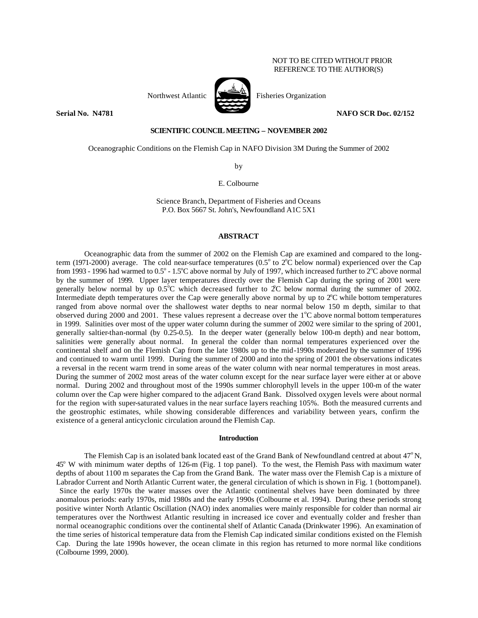## NOT TO BE CITED WITHOUT PRIOR REFERENCE TO THE AUTHOR(S)



Northwest Atlantic  $\sum_{n=1}^{\infty}$  Fisheries Organization

**Serial No. 14781 NAFO SCR Doc. 02/152** 

## **SCIENTIFIC COUNCIL MEETING – NOVEMBER 2002**

Oceanographic Conditions on the Flemish Cap in NAFO Division 3M During the Summer of 2002

by

E. Colbourne

Science Branch, Department of Fisheries and Oceans P.O. Box 5667 St. John's, Newfoundland A1C 5X1

# **ABSTRACT**

Oceanographic data from the summer of 2002 on the Flemish Cap are examined and compared to the longterm (1971-2000) average. The cold near-surface temperatures (0.5 $^{\circ}$  to 2 $^{\circ}$ C below normal) experienced over the Cap from 1993 - 1996 had warmed to  $0.5^{\circ}$  -  $1.5^{\circ}$ C above normal by July of 1997, which increased further to  $2^{\circ}$ C above normal by the summer of 1999. Upper layer temperatures directly over the Flemish Cap during the spring of 2001 were generally below normal by up  $0.5^{\circ}$ C which decreased further to  $2^{\circ}$ C below normal during the summer of 2002. Intermediate depth temperatures over the Cap were generally above normal by up to  $2^{\circ}$ C while bottom temperatures ranged from above normal over the shallowest water depths to near normal below 150 m depth, similar to that observed during 2000 and 2001. These values represent a decrease over the  $1^{\circ}$ C above normal bottom temperatures in 1999. Salinities over most of the upper water column during the summer of 2002 were similar to the spring of 2001, generally saltier-than-normal (by 0.25-0.5). In the deeper water (generally below 100-m depth) and near bottom, salinities were generally about normal. In general the colder than normal temperatures experienced over the continental shelf and on the Flemish Cap from the late 1980s up to the mid-1990s moderated by the summer of 1996 and continued to warm until 1999. During the summer of 2000 and into the spring of 2001 the observations indicates a reversal in the recent warm trend in some areas of the water column with near normal temperatures in most areas. During the summer of 2002 most areas of the water column except for the near surface layer were either at or above normal. During 2002 and throughout most of the 1990s summer chlorophyll levels in the upper 100-m of the water column over the Cap were higher compared to the adjacent Grand Bank. Dissolved oxygen levels were about normal for the region with super-saturated values in the near surface layers reaching 105%. Both the measured currents and the geostrophic estimates, while showing considerable differences and variability between years, confirm the existence of a general anticyclonic circulation around the Flemish Cap.

### **Introduction**

The Flemish Cap is an isolated bank located east of the Grand Bank of Newfoundland centred at about  $47^{\circ}$ N, 45<sup>o</sup> W with minimum water depths of 126-m (Fig. 1 top panel). To the west, the Flemish Pass with maximum water depths of about 1100 m separates the Cap from the Grand Bank. The water mass over the Flemish Cap is a mixture of Labrador Current and North Atlantic Current water, the general circulation of which is shown in Fig. 1 (bottompanel). Since the early 1970s the water masses over the Atlantic continental shelves have been dominated by three anomalous periods: early 1970s, mid 1980s and the early 1990s (Colbourne et al. 1994). During these periods strong positive winter North Atlantic Oscillation (NAO) index anomalies were mainly responsible for colder than normal air temperatures over the Northwest Atlantic resulting in increased ice cover and eventually colder and fresher than normal oceanographic conditions over the continental shelf of Atlantic Canada (Drinkwater 1996). An examination of the time series of historical temperature data from the Flemish Cap indicated similar conditions existed on the Flemish Cap. During the late 1990s however, the ocean climate in this region has returned to more normal like conditions (Colbourne 1999, 2000).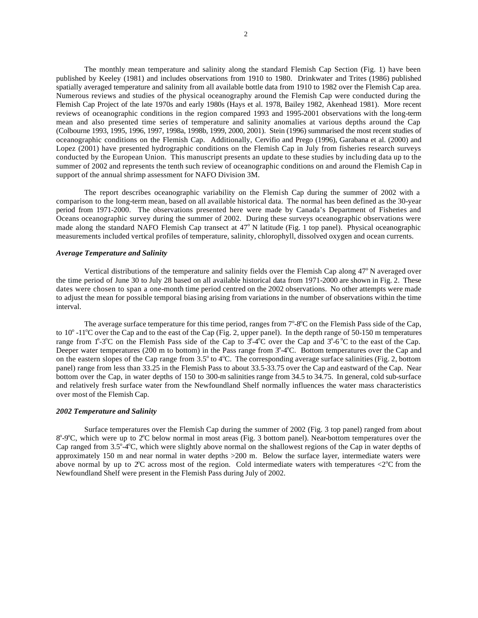The monthly mean temperature and salinity along the standard Flemish Cap Section (Fig. 1) have been published by Keeley (1981) and includes observations from 1910 to 1980. Drinkwater and Trites (1986) published spatially averaged temperature and salinity from all available bottle data from 1910 to 1982 over the Flemish Cap area. Numerous reviews and studies of the physical oceanography around the Flemish Cap were conducted during the Flemish Cap Project of the late 1970s and early 1980s (Hays et al. 1978, Bailey 1982, Akenhead 1981). More recent reviews of oceanographic conditions in the region compared 1993 and 1995-2001 observations with the long-term mean and also presented time series of temperature and salinity anomalies at various depths around the Cap (Colbourne 1993, 1995, 1996, 1997, 1998a, 1998b, 1999, 2000, 2001). Stein (1996) summarised the most recent studies of oceanographic conditions on the Flemish Cap. Additionally, Cervifio and Prego (1996), Garabana et al. (2000) and Lopez (2001) have presented hydrographic conditions on the Flemish Cap in July from fisheries research surveys conducted by the European Union. This manuscript presents an update to these studies by including data up to the summer of 2002 and represents the tenth such review of oceanographic conditions on and around the Flemish Cap in support of the annual shrimp assessment for NAFO Division 3M.

The report describes oceanographic variability on the Flemish Cap during the summer of 2002 with a comparison to the long-term mean, based on all available historical data. The normal has been defined as the 30-year period from 1971-2000. The observations presented here were made by Canada's Department of Fisheries and Oceans oceanographic survey during the summer of 2002. During these surveys oceanographic observations were made along the standard NAFO Flemish Cap transect at 47° N latitude (Fig. 1 top panel). Physical oceanographic measurements included vertical profiles of temperature, salinity, chlorophyll, dissolved oxygen and ocean currents.

### *Average Temperature and Salinity*

Vertical distributions of the temperature and salinity fields over the Flemish Cap along  $47^{\circ}$  N averaged over the time period of June 30 to July 28 based on all available historical data from 1971-2000 are shown in Fig. 2. These dates were chosen to span a one-month time period centred on the 2002 observations. No other attempts were made to adjust the mean for possible temporal biasing arising from variations in the number of observations within the time interval.

The average surface temperature for this time period, ranges from  $7^{\circ}$ -8 $^{\circ}$ C on the Flemish Pass side of the Cap, to  $10^{\circ}$  -11<sup>o</sup>C over the Cap and to the east of the Cap (Fig. 2, upper panel). In the depth range of 50-150 m temperatures range from  $1^{\circ}$ -3<sup>o</sup>C on the Flemish Pass side of the Cap to  $3^{\circ}$ -4<sup>o</sup>C over the Cap and  $3^{\circ}$ -6<sup>o</sup>C to the east of the Cap. Deeper water temperatures (200 m to bottom) in the Pass range from  $3^{\circ}$ -4 $^{\circ}$ C. Bottom temperatures over the Cap and on the eastern slopes of the Cap range from 3.5° to 4°C. The corresponding average surface salinities (Fig. 2, bottom panel) range from less than 33.25 in the Flemish Pass to about 33.5-33.75 over the Cap and eastward of the Cap. Near bottom over the Cap, in water depths of 150 to 300-m salinities range from 34.5 to 34.75. In general, cold sub-surface and relatively fresh surface water from the Newfoundland Shelf normally influences the water mass characteristics over most of the Flemish Cap.

#### *2002 Temperature and Salinity*

Surface temperatures over the Flemish Cap during the summer of 2002 (Fig. 3 top panel) ranged from about 8°-9°C, which were up to 2°C below normal in most areas (Fig. 3 bottom panel). Near-bottom temperatures over the Cap ranged from  $3.5^{\circ}$ -4 $\degree$ C, which were slightly above normal on the shallowest regions of the Cap in water depths of approximately 150 m and near normal in water depths >200 m. Below the surface layer, intermediate waters were above normal by up to  $2^\circ$ C across most of the region. Cold intermediate waters with temperatures <2 $^\circ$ C from the Newfoundland Shelf were present in the Flemish Pass during July of 2002.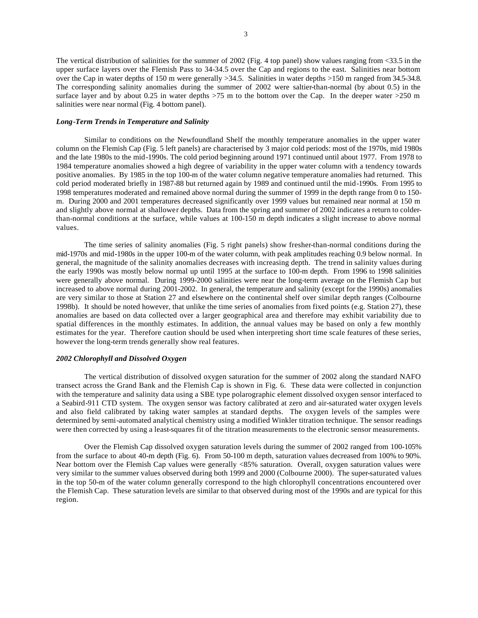The vertical distribution of salinities for the summer of 2002 (Fig. 4 top panel) show values ranging from <33.5 in the upper surface layers over the Flemish Pass to 34-34.5 over the Cap and regions to the east. Salinities near bottom over the Cap in water depths of 150 m were generally >34.5. Salinities in water depths >150 m ranged from 34.5-34.8. The corresponding salinity anomalies during the summer of 2002 were saltier-than-normal (by about 0.5) in the surface layer and by about 0.25 in water depths  $>75$  m to the bottom over the Cap. In the deeper water  $>250$  m salinities were near normal (Fig. 4 bottom panel).

### *Long-Term Trends in Temperature and Salinity*

Similar to conditions on the Newfoundland Shelf the monthly temperature anomalies in the upper water column on the Flemish Cap (Fig. 5 left panels) are characterised by 3 major cold periods: most of the 1970s, mid 1980s and the late 1980s to the mid-1990s. The cold period beginning around 1971 continued until about 1977. From 1978 to 1984 temperature anomalies showed a high degree of variability in the upper water column with a tendency towards positive anomalies. By 1985 in the top 100-m of the water column negative temperature anomalies had returned. This cold period moderated briefly in 1987-88 but returned again by 1989 and continued until the mid-1990s. From 1995 to 1998 temperatures moderated and remained above normal during the summer of 1999 in the depth range from 0 to 150 m. During 2000 and 2001 temperatures decreased significantly over 1999 values but remained near normal at 150 m and slightly above normal at shallower depths. Data from the spring and summer of 2002 indicates a return to colderthan-normal conditions at the surface, while values at 100-150 m depth indicates a slight increase to above normal values.

The time series of salinity anomalies (Fig. 5 right panels) show fresher-than-normal conditions during the mid-1970s and mid-1980s in the upper 100-m of the water column, with peak amplitudes reaching 0.9 below normal. In general, the magnitude of the salinity anomalies decreases with increasing depth. The trend in salinity values during the early 1990s was mostly below normal up until 1995 at the surface to 100-m depth. From 1996 to 1998 salinities were generally above normal. During 1999-2000 salinities were near the long-term average on the Flemish Cap but increased to above normal during 2001-2002. In general, the temperature and salinity (except for the 1990s) anomalies are very similar to those at Station 27 and elsewhere on the continental shelf over similar depth ranges (Colbourne 1998b). It should be noted however, that unlike the time series of anomalies from fixed points (e.g. Station 27), these anomalies are based on data collected over a larger geographical area and therefore may exhibit variability due to spatial differences in the monthly estimates. In addition, the annual values may be based on only a few monthly estimates for the year. Therefore caution should be used when interpreting short time scale features of these series, however the long-term trends generally show real features.

## *2002 Chlorophyll and Dissolved Oxygen*

The vertical distribution of dissolved oxygen saturation for the summer of 2002 along the standard NAFO transect across the Grand Bank and the Flemish Cap is shown in Fig. 6. These data were collected in conjunction with the temperature and salinity data using a SBE type polarographic element dissolved oxygen sensor interfaced to a Seabird-911 CTD system. The oxygen sensor was factory calibrated at zero and air-saturated water oxygen levels and also field calibrated by taking water samples at standard depths. The oxygen levels of the samples were determined by semi-automated analytical chemistry using a modified Winkler titration technique. The sensor readings were then corrected by using a least-squares fit of the titration measurements to the electronic sensor measurements.

Over the Flemish Cap dissolved oxygen saturation levels during the summer of 2002 ranged from 100-105% from the surface to about 40-m depth (Fig. 6). From 50-100 m depth, saturation values decreased from 100% to 90%. Near bottom over the Flemish Cap values were generally <85% saturation. Overall, oxygen saturation values were very similar to the summer values observed during both 1999 and 2000 (Colbourne 2000). The super-saturated values in the top 50-m of the water column generally correspond to the high chlorophyll concentrations encountered over the Flemish Cap. These saturation levels are similar to that observed during most of the 1990s and are typical for this region.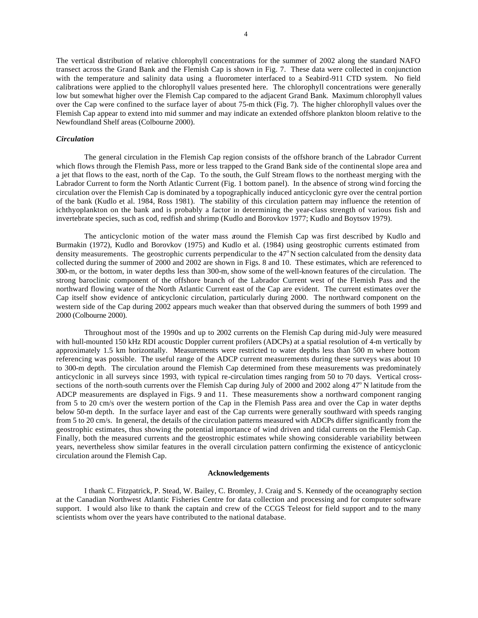The vertical distribution of relative chlorophyll concentrations for the summer of 2002 along the standard NAFO transect across the Grand Bank and the Flemish Cap is shown in Fig. 7. These data were collected in conjunction with the temperature and salinity data using a fluorometer interfaced to a Seabird-911 CTD system. No field calibrations were applied to the chlorophyll values presented here. The chlorophyll concentrations were generally low but somewhat higher over the Flemish Cap compared to the adjacent Grand Bank. Maximum chlorophyll values over the Cap were confined to the surface layer of about 75-m thick (Fig. 7). The higher chlorophyll values over the Flemish Cap appear to extend into mid summer and may indicate an extended offshore plankton bloom relative to the Newfoundland Shelf areas (Colbourne 2000).

#### *Circulation*

The general circulation in the Flemish Cap region consists of the offshore branch of the Labrador Current which flows through the Flemish Pass, more or less trapped to the Grand Bank side of the continental slope area and a jet that flows to the east, north of the Cap. To the south, the Gulf Stream flows to the northeast merging with the Labrador Current to form the North Atlantic Current (Fig. 1 bottom panel). In the absence of strong wind forcing the circulation over the Flemish Cap is dominated by a topographically induced anticyclonic gyre over the central portion of the bank (Kudlo et al. 1984, Ross 1981). The stability of this circulation pattern may influence the retention of ichthyoplankton on the bank and is probably a factor in determining the year-class strength of various fish and invertebrate species, such as cod, redfish and shrimp (Kudlo and Borovkov 1977; Kudlo and Boytsov 1979).

The anticyclonic motion of the water mass around the Flemish Cap was first described by Kudlo and Burmakin (1972), Kudlo and Borovkov (1975) and Kudlo et al. (1984) using geostrophic currents estimated from density measurements. The geostrophic currents perpendicular to the  $47^{\circ}$ N section calculated from the density data collected during the summer of 2000 and 2002 are shown in Figs. 8 and 10. These estimates, which are referenced to 300-m, or the bottom, in water depths less than 300-m, show some of the well-known features of the circulation. The strong baroclinic component of the offshore branch of the Labrador Current west of the Flemish Pass and the northward flowing water of the North Atlantic Current east of the Cap are evident. The current estimates over the Cap itself show evidence of anticyclonic circulation, particularly during 2000. The northward component on the western side of the Cap during 2002 appears much weaker than that observed during the summers of both 1999 and 2000 (Colbourne 2000).

Throughout most of the 1990s and up to 2002 currents on the Flemish Cap during mid-July were measured with hull-mounted 150 kHz RDI acoustic Doppler current profilers (ADCPs) at a spatial resolution of 4-m vertically by approximately 1.5 km horizontally. Measurements were restricted to water depths less than 500 m where bottom referencing was possible. The useful range of the ADCP current measurements during these surveys was about 10 to 300-m depth. The circulation around the Flemish Cap determined from these measurements was predominately anticyclonic in all surveys since 1993, with typical re-circulation times ranging from 50 to 70 days. Vertical crosssections of the north-south currents over the Flemish Cap during July of 2000 and 2002 along 47° N latitude from the ADCP measurements are displayed in Figs. 9 and 11. These measurements show a northward component ranging from 5 to 20 cm/s over the western portion of the Cap in the Flemish Pass area and over the Cap in water depths below 50-m depth. In the surface layer and east of the Cap currents were generally southward with speeds ranging from 5 to 20 cm/s. In general, the details of the circulation patterns measured with ADCPs differ significantly from the geostrophic estimates, thus showing the potential importance of wind driven and tidal currents on the Flemish Cap. Finally, both the measured currents and the geostrophic estimates while showing considerable variability between years, nevertheless show similar features in the overall circulation pattern confirming the existence of anticyclonic circulation around the Flemish Cap.

#### **Acknowledgements**

I thank C. Fitzpatrick, P. Stead, W. Bailey, C. Bromley, J. Craig and S. Kennedy of the oceanography section at the Canadian Northwest Atlantic Fisheries Centre for data collection and processing and for computer software support. I would also like to thank the captain and crew of the CCGS Teleost for field support and to the many scientists whom over the years have contributed to the national database.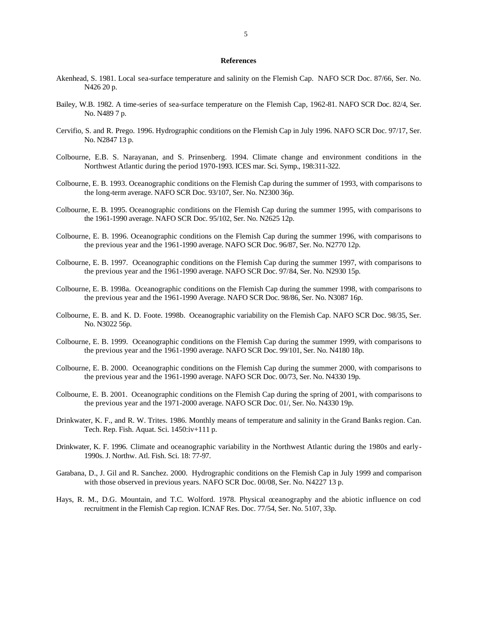### **References**

- Akenhead, S. 1981. Local sea-surface temperature and salinity on the Flemish Cap. NAFO SCR Doc. 87/66, Ser. No. N426 20 p.
- Bailey, W.B. 1982. A time-series of sea-surface temperature on the Flemish Cap, 1962-81. NAFO SCR Doc. 82/4, Ser. No. N489 7 p.
- Cervifio, S. and R. Prego. 1996. Hydrographic conditions on the Flemish Cap in July 1996. NAFO SCR Doc. 97/17, Ser. No. N2847 13 p.
- Colbourne, E.B. S. Narayanan, and S. Prinsenberg. 1994. Climate change and environment conditions in the Northwest Atlantic during the period 1970-1993. ICES mar. Sci. Symp., 198:311-322.
- Colbourne, E. B. 1993. Oceanographic conditions on the Flemish Cap during the summer of 1993, with comparisons to the long-term average. NAFO SCR Doc. 93/107, Ser. No. N2300 36p.
- Colbourne, E. B. 1995. Oceanographic conditions on the Flemish Cap during the summer 1995, with comparisons to the 1961-1990 average. NAFO SCR Doc. 95/102, Ser. No. N2625 12p.
- Colbourne, E. B. 1996. Oceanographic conditions on the Flemish Cap during the summer 1996, with comparisons to the previous year and the 1961-1990 average. NAFO SCR Doc. 96/87, Ser. No. N2770 12p.
- Colbourne, E. B. 1997. Oceanographic conditions on the Flemish Cap during the summer 1997, with comparisons to the previous year and the 1961-1990 average. NAFO SCR Doc. 97/84, Ser. No. N2930 15p.
- Colbourne, E. B. 1998a. Oceanographic conditions on the Flemish Cap during the summer 1998, with comparisons to the previous year and the 1961-1990 Average. NAFO SCR Doc. 98/86, Ser. No. N3087 16p.
- Colbourne, E. B. and K. D. Foote. 1998b. Oceanographic variability on the Flemish Cap. NAFO SCR Doc. 98/35, Ser. No. N3022 56p.
- Colbourne, E. B. 1999. Oceanographic conditions on the Flemish Cap during the summer 1999, with comparisons to the previous year and the 1961-1990 average. NAFO SCR Doc. 99/101, Ser. No. N4180 18p.
- Colbourne, E. B. 2000. Oceanographic conditions on the Flemish Cap during the summer 2000, with comparisons to the previous year and the 1961-1990 average. NAFO SCR Doc. 00/73, Ser. No. N4330 19p.
- Colbourne, E. B. 2001. Oceanographic conditions on the Flemish Cap during the spring of 2001, with comparisons to the previous year and the 1971-2000 average. NAFO SCR Doc. 01/, Ser. No. N4330 19p.
- Drinkwater, K. F., and R. W. Trites. 1986. Monthly means of temperature and salinity in the Grand Banks region. Can. Tech. Rep. Fish. Aquat. Sci. 1450:iv+111 p.
- Drinkwater, K. F. 1996. Climate and oceanographic variability in the Northwest Atlantic during the 1980s and early-1990s. J. Northw. Atl. Fish. Sci. 18: 77-97.
- Garabana, D., J. Gil and R. Sanchez. 2000. Hydrographic conditions on the Flemish Cap in July 1999 and comparison with those observed in previous years. NAFO SCR Doc. 00/08, Ser. No. N4227 13 p.
- Hays, R. M., D.G. Mountain, and T.C. Wolford. 1978. Physical  $\alpha$ eanography and the abiotic influence on cod recruitment in the Flemish Cap region. ICNAF Res. Doc. 77/54, Ser. No. 5107, 33p.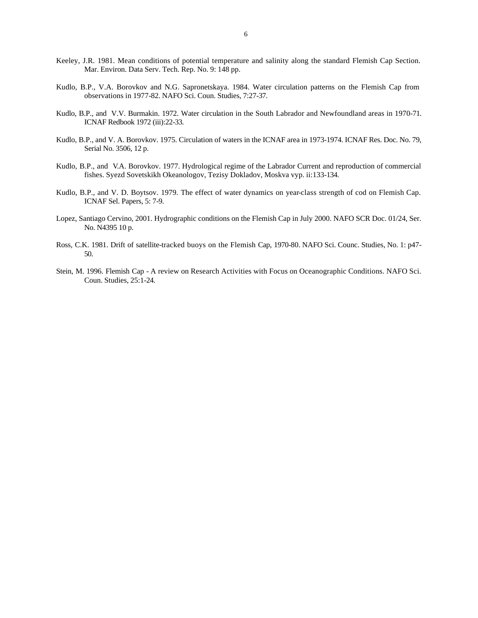- Keeley, J.R. 1981. Mean conditions of potential temperature and salinity along the standard Flemish Cap Section. Mar. Environ. Data Serv. Tech. Rep. No. 9: 148 pp.
- Kudlo, B.P., V.A. Borovkov and N.G. Sapronetskaya. 1984. Water circulation patterns on the Flemish Cap from observations in 1977-82. NAFO Sci. Coun. Studies, 7:27-37.
- Kudlo, B.P., and V.V. Burmakin. 1972. Water circulation in the South Labrador and Newfoundland areas in 1970-71. ICNAF Redbook 1972 (iii):22-33.
- Kudlo, B.P., and V. A. Borovkov. 1975. Circulation of waters in the ICNAF area in 1973-1974. ICNAF Res. Doc. No. 79, Serial No. 3506, 12 p.
- Kudlo, B.P., and V.A. Borovkov. 1977. Hydrological regime of the Labrador Current and reproduction of commercial fishes. Syezd Sovetskikh Okeanologov, Tezisy Dokladov, Moskva vyp. ii:133-134.
- Kudlo, B.P., and V. D. Boytsov. 1979. The effect of water dynamics on year-class strength of cod on Flemish Cap. ICNAF Sel. Papers, 5: 7-9.
- Lopez, Santiago Cervino, 2001. Hydrographic conditions on the Flemish Cap in July 2000. NAFO SCR Doc. 01/24, Ser. No. N4395 10 p.
- Ross, C.K. 1981. Drift of satellite-tracked buoys on the Flemish Cap, 1970-80. NAFO Sci. Counc. Studies, No. 1: p47- 50.
- Stein, M. 1996. Flemish Cap A review on Research Activities with Focus on Oceanographic Conditions. NAFO Sci. Coun. Studies, 25:1-24.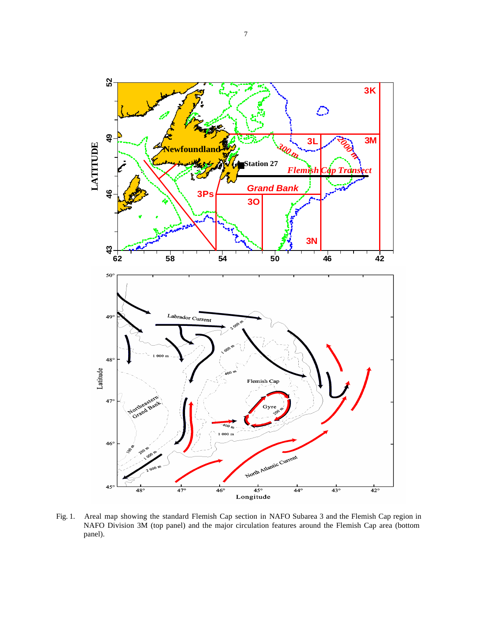

Fig. 1. Areal map showing the standard Flemish Cap section in NAFO Subarea 3 and the Flemish Cap region in NAFO Division 3M (top panel) and the major circulation features around the Flemish Cap area (bottom panel).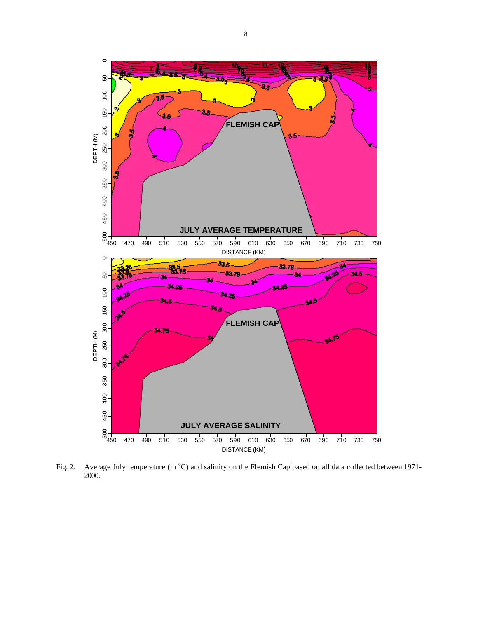

Fig. 2. Average July temperature (in °C) and salinity on the Flemish Cap based on all data collected between 1971-2000.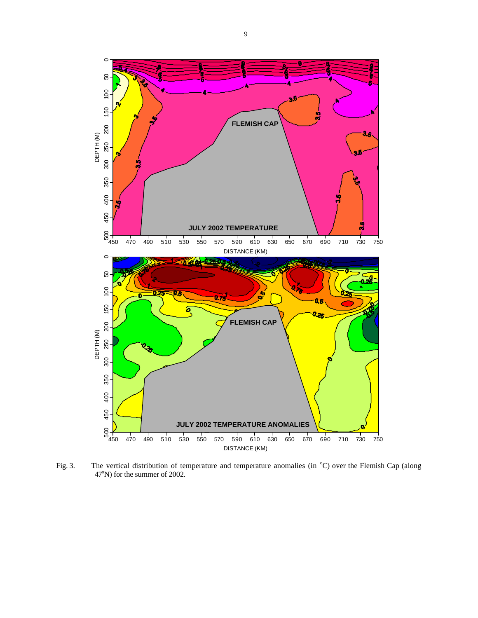

Fig. 3. The vertical distribution of temperature and temperature anomalies (in °C) over the Flemish Cap (along 47°N) for the summer of 2002.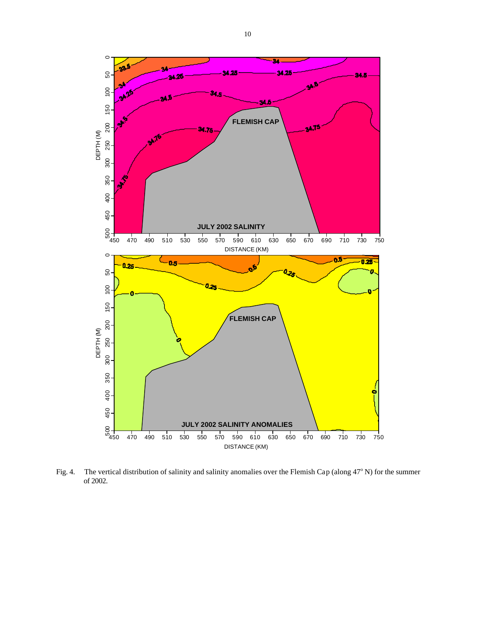

Fig. 4. The vertical distribution of salinity and salinity anomalies over the Flemish Cap (along  $47^{\circ}$  N) for the summer of 2002.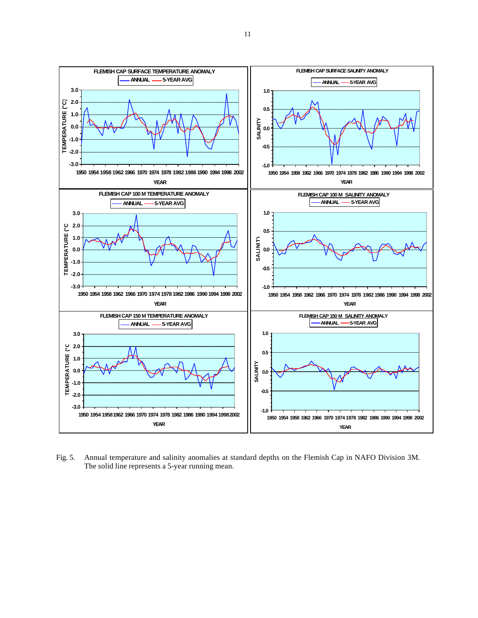

Fig. 5. Annual temperature and salinity anomalies at standard depths on the Flemish Cap in NAFO Division 3M. The solid line represents a 5-year running mean.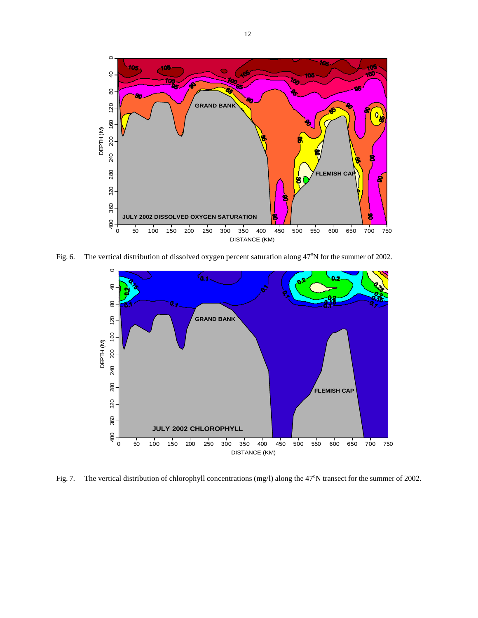

Fig. 6. The vertical distribution of dissolved oxygen percent saturation along  $47^{\circ}$ N for the summer of 2002.



Fig. 7. The vertical distribution of chlorophyll concentrations (mg/l) along the 47°N transect for the summer of 2002.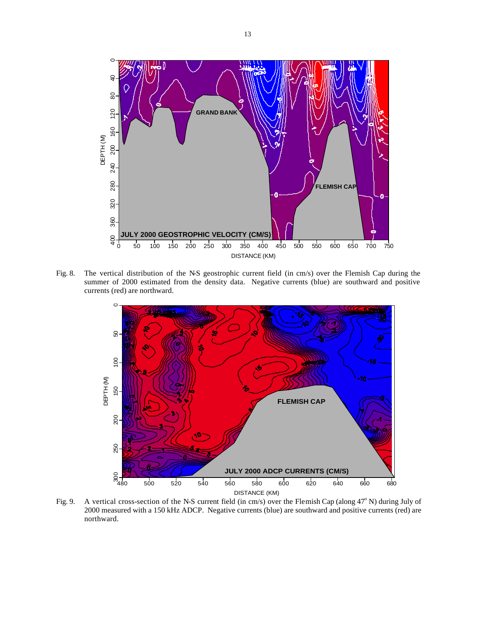

Fig. 8. The vertical distribution of the N-S geostrophic current field (in cm/s) over the Flemish Cap during the summer of 2000 estimated from the density data. Negative currents (blue) are southward and positive currents (red) are northward.



Fig. 9. A vertical cross-section of the N-S current field (in cm/s) over the Flemish Cap (along  $47^{\circ}$  N) during July of 2000 measured with a 150 kHz ADCP. Negative currents (blue) are southward and positive currents (red) are northward.